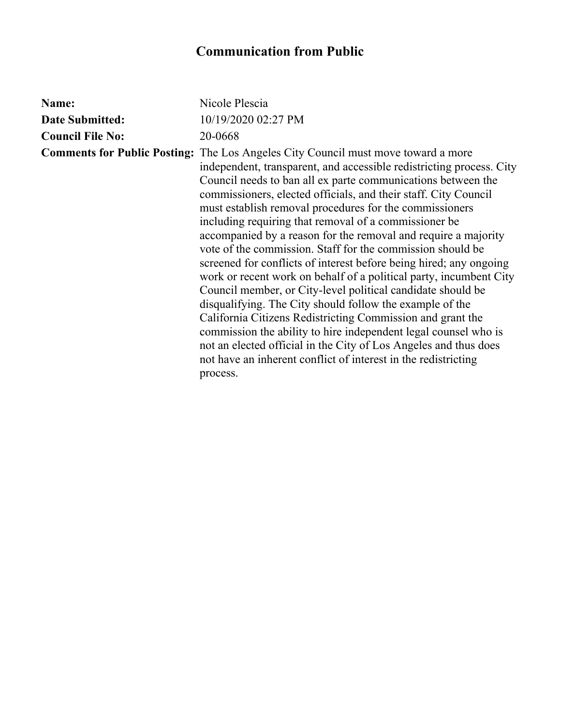## **Communication from Public**

| Name:                   | Nicole Plescia                                                                                                                                                                                                                                                                                                                                                                                                                                                                                                                                                                                                                                                                                                                                                                                                                                                                                                                                                                                                                                                                                                    |
|-------------------------|-------------------------------------------------------------------------------------------------------------------------------------------------------------------------------------------------------------------------------------------------------------------------------------------------------------------------------------------------------------------------------------------------------------------------------------------------------------------------------------------------------------------------------------------------------------------------------------------------------------------------------------------------------------------------------------------------------------------------------------------------------------------------------------------------------------------------------------------------------------------------------------------------------------------------------------------------------------------------------------------------------------------------------------------------------------------------------------------------------------------|
| <b>Date Submitted:</b>  | 10/19/2020 02:27 PM                                                                                                                                                                                                                                                                                                                                                                                                                                                                                                                                                                                                                                                                                                                                                                                                                                                                                                                                                                                                                                                                                               |
| <b>Council File No:</b> | 20-0668                                                                                                                                                                                                                                                                                                                                                                                                                                                                                                                                                                                                                                                                                                                                                                                                                                                                                                                                                                                                                                                                                                           |
|                         | <b>Comments for Public Posting:</b> The Los Angeles City Council must move toward a more<br>independent, transparent, and accessible redistricting process. City<br>Council needs to ban all ex parte communications between the<br>commissioners, elected officials, and their staff. City Council<br>must establish removal procedures for the commissioners<br>including requiring that removal of a commissioner be<br>accompanied by a reason for the removal and require a majority<br>vote of the commission. Staff for the commission should be<br>screened for conflicts of interest before being hired; any ongoing<br>work or recent work on behalf of a political party, incumbent City<br>Council member, or City-level political candidate should be<br>disqualifying. The City should follow the example of the<br>California Citizens Redistricting Commission and grant the<br>commission the ability to hire independent legal counsel who is<br>not an elected official in the City of Los Angeles and thus does<br>not have an inherent conflict of interest in the redistricting<br>process. |